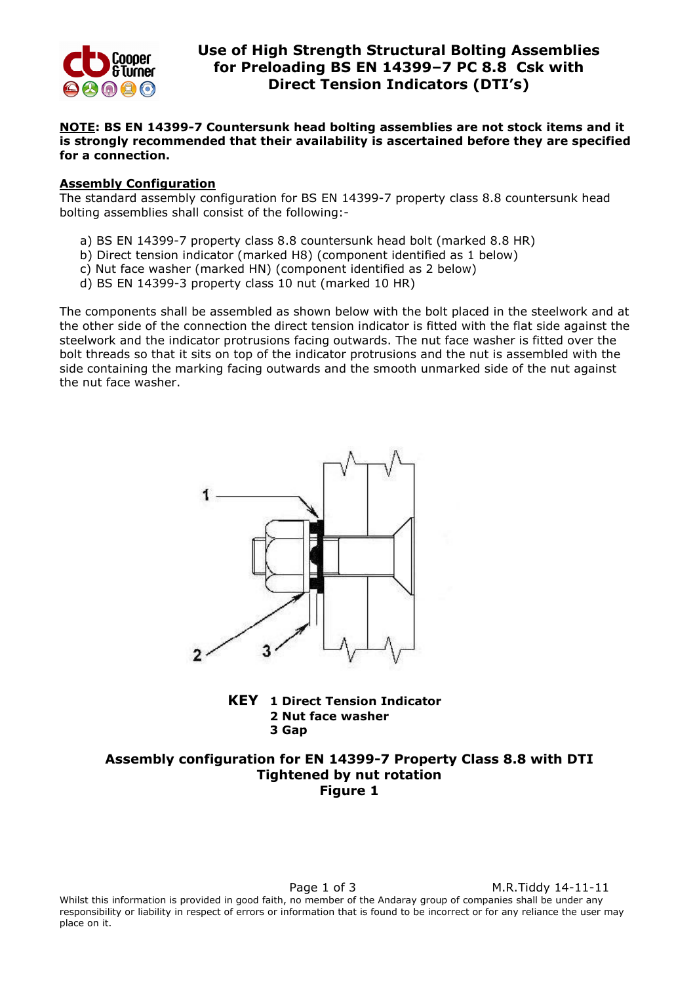

place on it.

# Use of High Strength Structural Bolting Assemblies for Preloading BS EN 14399–7 PC 8.8 Csk with Direct Tension Indicators (DTI's)

## NOTE: BS EN 14399-7 Countersunk head bolting assemblies are not stock items and it is strongly recommended that their availability is ascertained before they are specified for a connection.

#### Assembly Configuration

The standard assembly configuration for BS EN 14399-7 property class 8.8 countersunk head bolting assemblies shall consist of the following:-

- a) BS EN 14399-7 property class 8.8 countersunk head bolt (marked 8.8 HR)
- b) Direct tension indicator (marked H8) (component identified as 1 below)
- c) Nut face washer (marked HN) (component identified as 2 below)
- d) BS EN 14399-3 property class 10 nut (marked 10 HR)

The components shall be assembled as shown below with the bolt placed in the steelwork and at the other side of the connection the direct tension indicator is fitted with the flat side against the steelwork and the indicator protrusions facing outwards. The nut face washer is fitted over the bolt threads so that it sits on top of the indicator protrusions and the nut is assembled with the side containing the marking facing outwards and the smooth unmarked side of the nut against the nut face washer.



KEY 1 Direct Tension Indicator 2 Nut face washer 3 Gap

## Assembly configuration for EN 14399-7 Property Class 8.8 with DTI Tightened by nut rotation Figure 1

Page 1 of 3 M.R.Tiddy 14-11-11 Whilst this information is provided in good faith, no member of the Andaray group of companies shall be under any responsibility or liability in respect of errors or information that is found to be incorrect or for any reliance the user may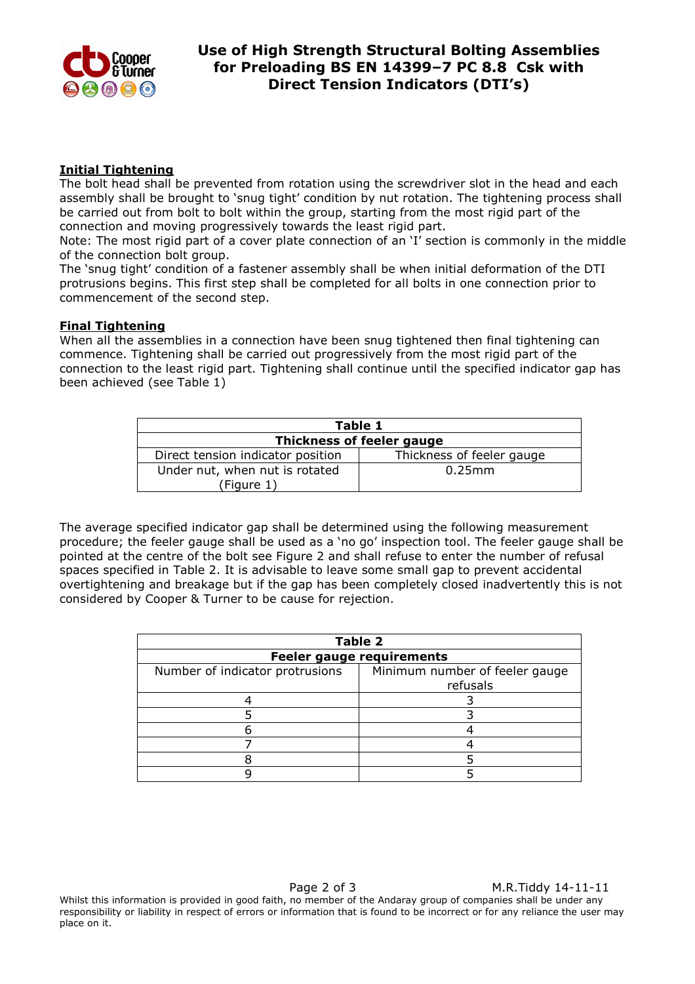

## Initial Tightening

The bolt head shall be prevented from rotation using the screwdriver slot in the head and each assembly shall be brought to 'snug tight' condition by nut rotation. The tightening process shall be carried out from bolt to bolt within the group, starting from the most rigid part of the connection and moving progressively towards the least rigid part.

Note: The most rigid part of a cover plate connection of an 'I' section is commonly in the middle of the connection bolt group.

The 'snug tight' condition of a fastener assembly shall be when initial deformation of the DTI protrusions begins. This first step shall be completed for all bolts in one connection prior to commencement of the second step.

## Final Tightening

When all the assemblies in a connection have been snug tightened then final tightening can commence. Tightening shall be carried out progressively from the most rigid part of the connection to the least rigid part. Tightening shall continue until the specified indicator gap has been achieved (see Table 1)

| Table 1                           |                           |  |  |
|-----------------------------------|---------------------------|--|--|
| Thickness of feeler gauge         |                           |  |  |
| Direct tension indicator position | Thickness of feeler gauge |  |  |
| Under nut, when nut is rotated    | $0.25$ mm                 |  |  |
| (Figure 1)                        |                           |  |  |

The average specified indicator gap shall be determined using the following measurement procedure; the feeler gauge shall be used as a 'no go' inspection tool. The feeler gauge shall be pointed at the centre of the bolt see Figure 2 and shall refuse to enter the number of refusal spaces specified in Table 2. It is advisable to leave some small gap to prevent accidental overtightening and breakage but if the gap has been completely closed inadvertently this is not considered by Cooper & Turner to be cause for rejection.

| <b>Table 2</b>                   |                                |  |
|----------------------------------|--------------------------------|--|
| <b>Feeler gauge requirements</b> |                                |  |
| Number of indicator protrusions  | Minimum number of feeler gauge |  |
|                                  | refusals                       |  |
|                                  |                                |  |
|                                  |                                |  |
|                                  |                                |  |
|                                  |                                |  |
|                                  |                                |  |
|                                  |                                |  |

Page 2 of 3 M.R.Tiddy 14-11-11 Whilst this information is provided in good faith, no member of the Andaray group of companies shall be under any responsibility or liability in respect of errors or information that is found to be incorrect or for any reliance the user may place on it.